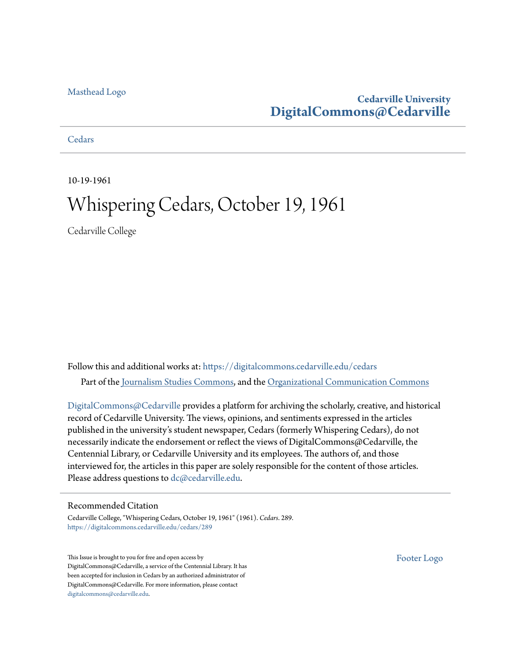# [Masthead Logo](http://www.cedarville.edu/?utm_source=digitalcommons.cedarville.edu%2Fcedars%2F289&utm_medium=PDF&utm_campaign=PDFCoverPages)

# **Cedarville University [DigitalCommons@Cedarville](https://digitalcommons.cedarville.edu?utm_source=digitalcommons.cedarville.edu%2Fcedars%2F289&utm_medium=PDF&utm_campaign=PDFCoverPages)**

**[Cedars](https://digitalcommons.cedarville.edu/cedars?utm_source=digitalcommons.cedarville.edu%2Fcedars%2F289&utm_medium=PDF&utm_campaign=PDFCoverPages)** 

10-19-1961

# Whispering Cedars, October 19, 1961

Cedarville College

Follow this and additional works at: [https://digitalcommons.cedarville.edu/cedars](https://digitalcommons.cedarville.edu/cedars?utm_source=digitalcommons.cedarville.edu%2Fcedars%2F289&utm_medium=PDF&utm_campaign=PDFCoverPages) Part of the [Journalism Studies Commons](http://network.bepress.com/hgg/discipline/333?utm_source=digitalcommons.cedarville.edu%2Fcedars%2F289&utm_medium=PDF&utm_campaign=PDFCoverPages), and the [Organizational Communication Commons](http://network.bepress.com/hgg/discipline/335?utm_source=digitalcommons.cedarville.edu%2Fcedars%2F289&utm_medium=PDF&utm_campaign=PDFCoverPages)

[DigitalCommons@Cedarville](http://digitalcommons.cedarville.edu/) provides a platform for archiving the scholarly, creative, and historical record of Cedarville University. The views, opinions, and sentiments expressed in the articles published in the university's student newspaper, Cedars (formerly Whispering Cedars), do not necessarily indicate the endorsement or reflect the views of DigitalCommons@Cedarville, the Centennial Library, or Cedarville University and its employees. The authors of, and those interviewed for, the articles in this paper are solely responsible for the content of those articles. Please address questions to [dc@cedarville.edu.](mailto:dc@cedarville.edu)

# Recommended Citation

Cedarville College, "Whispering Cedars, October 19, 1961" (1961). *Cedars*. 289. [https://digitalcommons.cedarville.edu/cedars/289](https://digitalcommons.cedarville.edu/cedars/289?utm_source=digitalcommons.cedarville.edu%2Fcedars%2F289&utm_medium=PDF&utm_campaign=PDFCoverPages)

This Issue is brought to you for free and open access by DigitalCommons@Cedarville, a service of the Centennial Library. It has been accepted for inclusion in Cedars by an authorized administrator of DigitalCommons@Cedarville. For more information, please contact [digitalcommons@cedarville.edu](mailto:digitalcommons@cedarville.edu).

[Footer Logo](http://www.cedarville.edu/Academics/Library.aspx?utm_source=digitalcommons.cedarville.edu%2Fcedars%2F289&utm_medium=PDF&utm_campaign=PDFCoverPages)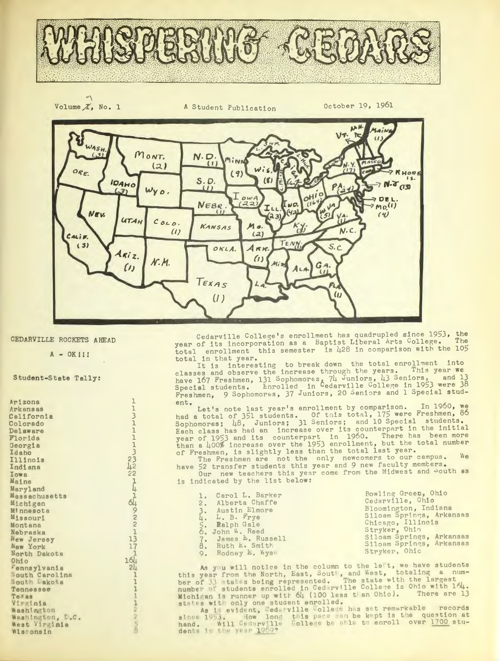



CEDARVILLE ROCKETS AHEAD

 $A - OK$  !!!

 $\mathbf{1}$ 

 $\begin{array}{c}\n131111111 \\
23122111111 \\
23122111111 \\
31312\n\end{array}$ 

**164** 

 $51$ 

 $\mathbf{I}$  $\mathbf{I}$  $\mathbf{1}$ 

 $\begin{array}{c} \n\bullet \quad \text{if} \quad \text{if} \quad \text{if} \quad \text{if} \quad \text{if} \quad \text{if} \quad \text{if} \quad \text{if} \quad \text{if} \quad \text{if} \quad \text{if} \quad \text{if} \quad \text{if} \quad \text{if} \quad \text{if} \quad \text{if} \quad \text{if} \quad \text{if} \quad \text{if} \quad \text{if} \quad \text{if} \quad \text{if} \quad \text{if} \quad \text{if} \quad \text{if} \quad \text{if} \quad \text{if} \quad \text{if} \quad \text{if} \quad \text{if$ 

 $\overline{1}$ 

Student-State Tally:

Arizona Arkansas California Colorado Delaware Florida Georgia Idaho Illinois Indiana Iowa Maine Maryland Massachusetts Michigan Minnesota Missouri Montana Nebraska New Jersey New York North Dakota Ohio *Fennsylvania* Nouth Carolina<br>Nouth Lako a **Tennessee** Texas Virginia Washington Washington, L.C. West Virginia Wisconsin

Cedarville College's enrollment has quadrupled since 1953, the year of its incorporation as a Baptist Liberal Arts College. The total enrollment this semester is 428 in comparison with the 105 total in that year.

It is interesting to break down the total enrollment into<br>classes and observe the increase through the years. This year we have 167 Freshmen, 131 Sophomores, 74 Juniors, 43 Seniors, and 13<br>Special students. Enrolled in Cedarville College in 1953 were 38<br>Freshmen, 9 Sophomores, 37 Juniors, 20 Seniors and 1 Special student.

ent.<br>
Let's note last year's enrollment by comparison. In 1960, we<br>
had a total of 351 students. Of this total, 175 were Freshmen, 86<br>
Sophomores; 48, Juniors; 31 Seniors; and 10 Special students.<br>
Each class has had an i

The Freshmen are not the only newcomers to our campus.<br>have 52 transfer students this year and 9 new faculty members.

Our new teachers this year come from the Midwest and South as is indicated by the list below:

| 1. Carol L. Barker<br>2. Alberta Chaffe                      | Bowling Green, Ohio<br>Cedarville, Ohio          |
|--------------------------------------------------------------|--------------------------------------------------|
| 3. Austin Elmore                                             | Bloomington, Indiana<br>Siloam Springs, Arkansas |
| 4. L. B. Frye<br>5. Ralph Gale                               | Chicago, Illinois                                |
| 6. John W. Reed                                              | Stryker, Ohio<br>Siloam Springs, Arkansas        |
| 7. James E. Russell<br>8. Ruth E. Smith<br>9. Rodney E. Wyse | Siloam Springs, Arkansas<br>Stryker, Ohic        |

As you will notice in the column to the let, we have students<br>vear from the North, East, Sout, and West, totaling a num-As you will notice in the column to the left, we have students<br>this year from the North, East, Sout, and West, totaling a num-<br>ber of 31 mta is being represented. The state with the largest<br>number of students enrolled in

hand. Will Cedary 111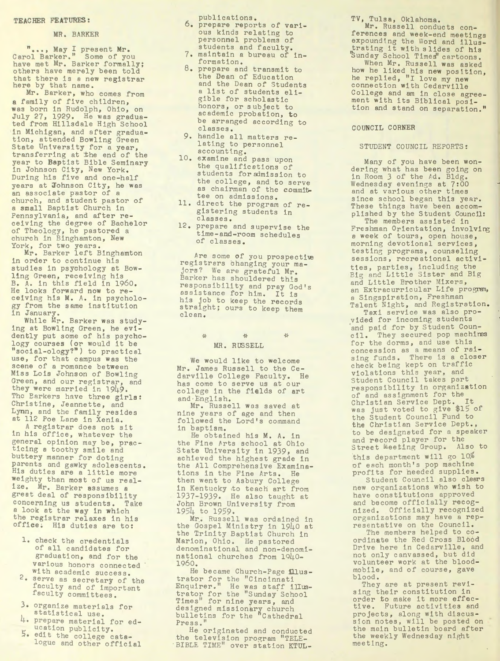#### TEACHER FEATURES:

#### MR. BARKER

*" ••• ,* May I present Mr. Carol Barker." Some of you have met Mr. Barker formally; others have merely been told that there is <sup>a</sup>new registrar here by that name.

Mr. Barker, who comes from <sup>a</sup>family of five children, was born in Rudolph, Ohio, on July 27, 1929. He was graduated from Hillsdale High School in Michigan, and after graduation, attended Bowling Green State University for a year, transferring at the end of the year to Baptist Bible Seminary in Johnson City, New York. During his five and one-half years at Johnson City, he was an associate pastor of a church, and student pastor of <sup>a</sup>small Baptist Church in Pennsylvania, and after receiving the degree of Bachelor of Theology, he pastored a church in Binghamton, New York, for two years .

Mr. Barker left Binghamton in order to continue his studies in psychology at Bowling Green, receiving his B. A. in this field in 1960. He looks forward now to receiving his M. A. in psychology from the same institution in January.

While Mr. Barker was studying at Bowling Green, he evidently put some of his psychology courses (or would it be "social-ology?") to practical use, for that campus was the scene of a romance between Miss Lois Johnson of Bowling Green, and our registrar, and they were married in 1949. The Barkers have three girls: Christine, Jeannette, and Lynn, and the family resides at 112 Poe Lane in Xenia.

*A* registrar does not sit in his office, whatever the general opinion may be, practicing a toothy smile and buttery manner for doting parents and gawky adolescents . His duties are a little more weighty than most of us realize. Mr. Barker assumes <sup>a</sup> great deal of responsibility concerning us students. Take <sup>a</sup>look at the way in which the registrar relaxes in his office. His duties are to:

- 1. check the credentials of all candidates for graduation, and for the various honors connected with academic success.
- 2. serve as secretary of the faculty and of important faculty committees.
- 3. organize materials for
- 4. prepare material for ed-<br>  $L$  ucation publicity.
- 5. edit the college catalogue and other official

publications .

- 6 . prepare reports of various kinds relating to personnel problems of students and faculty.
- 7. maintain a bureau of in formation.
- 8. prepare and transmit to the Dean of Educatio<sup>n</sup> and the Dean of Students <sup>a</sup>list of students eligible for scholastic honors, or subject to academic probation, to be arranged according to classes .
- 9. handle all matters relating to personnel accounting.
- 10. examine and pass upon the qualifications of students for admission to the college, and to serve as chairman of the committee on admissions .
- 11. direct the program of registering students in classes .
- 12. prepare and supervise the time-and-room schedules of classes.

Are some of you prospective registrars changing your majors? We are grateful Mr. Barker has shouldered this responsibility and pray God's assistance for him. It is his job to keep the records straight; ours to keep them clean .

# $\begin{picture}(20,20) \put(0,0){\vector(1,0){100}} \put(15,0){\vector(1,0){100}} \put(15,0){\vector(1,0){100}} \put(15,0){\vector(1,0){100}} \put(15,0){\vector(1,0){100}} \put(15,0){\vector(1,0){100}} \put(15,0){\vector(1,0){100}} \put(15,0){\vector(1,0){100}} \put(15,0){\vector(1,0){100}} \put(15,0){\vector(1,0){100}} \put(15,0){\vector(1,0){100}} \$ MR. RUSSELL

 $\frac{1}{2} \frac{\partial}{\partial t}$ 

We would like to welcome Mr. James Russell to the Cedarville College Faculty. He has come to serve us at our college in the fields of art and ·English.

Mr. Russell was saved at nine years of age and then followed the Lord's command in baptism.

He obtained his M. A. in the Fine Arts school at Ohio State University in 1939, and achieved the highest grade in the All Comprehensive Examinations in the Fine Arts. He then went to Asbury College in Kentucky to teach art from 1937-1939. He also taught at John Brown University from 1954 to 1959.

Mr. Russell was ordained in the Gospel Ministry in 1940 at the Trinity Baptist Church in Marion, Ohio. He pastored denominational and non-denomi national churches from 1940-1960.

He became Church-Page *illus*trator for the "C incinnati Enquirer." He was staff illustrator for the "Sunday School Times" for nine years, and designed missionary church bulletins for the 'Cathedral Press."

He originated and conducted the television program "TELE-<br>BIBLE TIME" over station KTUL-

TV, Tulsa, Oklahoma.

Mr. Russell conducts conferences and week-end meetings expounding the Word and illustrating it with slides of his Sunday School Times' cartoons. When Mr . Russell was asked how he liked his new position, he replied, "I love my new connection with Cedarville College and am in close agreement with its Biblical position and stand on separation."

### COUNCIL CORNER

## STUDENT COUNCIL REPORTS:

Many of you have been wondering what has been going on in Room 3 of the Ad. Bldg. Wednesday evenings at 7:00 and at various other times since school began this year. These things have been accomplished by the Student Council: The members assisted in Freshman Orientation, involving a week of tours, open house, morning devotional services, testine programs , counseling sessions, recreational activi ties parties, including the Big and Little Sister and Big and Little Brother Mixers, an Extracurricular Life program, a Singspiration, Freshman Talent Night, and Registration.

Taxi service was also provided for incoming students and paid for by Student Council. They secured pop machire<sup>s</sup> for the dorms, and use this concession as a means of raising funds. There is a closer check being kept on traffic violations this year, and Student Council takes part responsibility in organization of and assignment for the Christian Service Dept. It<br>was just voted to give \$15 of the Student Council Fund to the Christian Service Dept., to be designated for a speaker and record player for the Street Meeting Group. Also to this department will go 10% of each month's pop machine

profits for heeded supplies . Student Council also clears new organizations who wish to have constitutions approved and become officially recognized. Officially recognized organizations may have a rep-

resentative on the Council . The members helped to coordinate the Red Cross Blood Drive here in Cedarville, and not only canvassed, but did volunteer work at the bloodmobile, and of course, gave blood.

They are at present revising their constitution in order to make it more effective. Future activities and projects, along with discus sion notes, will be posted on the main bulletin board after the weekly Wednesday night meeting .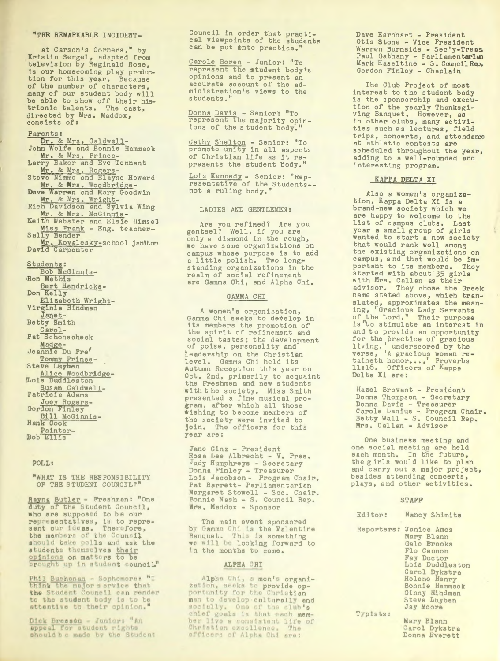#### "THE REMARKABLE INCIDENT-

at Carson's Corners," by Kristin Sergel, adapted from television by Reginald Rose, is our homecoming play production for this year. Because of the number of characters, many of our student body will<br>be able to show off their hisbe able to show off their mi<br>trionic talents. The cast,<br>directed by Mrs. Maddox,<br>consists of:

#### Parents:

Dr. & Mrs. Caldwell-John Wolfe and Bonnie Hammack Mr. & Mrs. Prince-Larry Baker and Eve Tennant Mr. & Mrs. Rogers-<br>Steve Nimmo and Elayne Howard Mr. & Mrs. Woodbridge-Dave Warren and Mary Goodwin Mr. & Mrs. Wright-<br>Rich Davidson and Sylvia Wing Mr. & Mrs. McGinmis-<br>Keith Webster and Elsie Himsel Miss Frank - Eng. teacher-Sally Bender Mr. Kovalesky-school janitor Students: Bob McGinnis-Ron Mathis Bert Hendricks-Don Kelly

Elizabeth Wright-<br>Virginia Hindman Janet-Betty Smith Carol-Pat Schonscheck Madge-Jeannie Du Pre' Tommy Prince-Steve Luyben<br>Alice Woodbridge-Lois Duddleston Susan Caldwell-<br>Patricia Adams Joey Rogers-Bill McGinnis-Hank Cook Painter-<br>Bob Ellis

#### POLL:

"WHAT IS THE RESPONSIBILITY OF THE STUDENT COUNCIL?

Rayna Butler - Freshman: "One who are supposed to be our representatives, is to repre-<br>sent our ideas. Therefore,<br>the members of the Council should take polls and ask the students themselves their<br>opinions on matters to be<br>brought up in student council"

Phil Buchenam - Sophomore: "I<br>think the major service that<br>the Student Council can render<br>to the student body is to be<br>attentive to their opinion."

 $\frac{\text{Pick} \text{ Bresso}_n - \text{Junior: "An}}{\text{append for student rights}}$  should be made by the Student

Council in order that practical viewpoints of the students can be put into practice.

Carole Boren - Junior: "To<br>represent the student body's opinions and to present an accurate account of the administration's views to the students."

Donna Davis - Senior: "To<br>represent the majority opin-<br>ions of the student body."

<u>Cathy Shelton</u> - Senior: "To<br>promote unity in all aspects<br>of Christian life as it represents the student body."

Lois Kennedy - Senior: "Representative of the Students--<br>not a ruling body."

#### LADIES AND GENTLEMEN:

Are you refined? Are you genteel? Well, if you are<br>only a diamond in the rough, we have some organizations on campus whose purpose is to add a little polish. Two longstanding organizations in the<br>realm of social refinement are Gamma Chi, and Alpha Chi.

#### GAMMA CHI

A women's organization, Gamma Chi seeks to develop in its members the promotion of the spirit of refinement and<br>social tastes; the development<br>of poise, personality and leadership on the Christian level. Gamma Chi held its Autumn Reception this year on Oct. 2nd, primarily to acquaint the Freshmen and new students with the society. Miss Smith presented a fine musical program, after which all those wishing to become members of the society were invited to join. The officers for this year are:

Jane Ginz - President Rosa Lee Albrecht - V. Pres. Judy Humphreys - Secretary<br>Donna Finley - Treasurer<br>Lois Jacobson - Program Chair. Pat Barrett- Parliamentarian Margaret Stowell - Soc. Chair. Bonnie Nash - S. Council Rep.<br>Mrs. Maddox - Sponsor

The main event sponsored by Gamma Chi is the Valentine Banquet. This is something<br>we will be looking forward to In the months to come.

#### ALPHA CHI

Alpha Chi, a men's organization, seeks to provide op-<br>portunity for the Christian man to develop culturally and chief goals is that each member live a consistent life of<br>Christian excellence. The officers of Alpha Chi ara:

Dave Earnhart - President Otis Stone - Vice President Warren Burnside - Sec'y-Trees Paul Gathany - Parliamentarian Mark Haseltine - S. Council Rep. Gordon Finley - Chaplain

The Club Project of most interest to the student body is the sponsorship and execution of the yearly Thanksgiving Banquet. However, as in other clubs, many activities such as lectures, field trips, concerts, and attendance at athletic contests are scheduled throughout the year, adding to a well-rounded and interesting program.

#### KAPPA DELTA XI

Also a women's organization, Kappa Delta Xi is a brand-new society which we are happy to welcome to the list of campus clubs. Last<br>year a small group of girls wanted to start a new society that would rank well among the existing organizations on campus, and that would be important to its members. They started with about 35 girls<br>with Mrs. Callan as their<br>advisor. They chose the Greek advisor. They chose the Greek<br>name stated above, which tran-<br>slated, approximates the mean-<br>ing, "Gracious Lady Servants<br>of the Lord." Their purpose<br>is "to stimulate an interest in is to stimulate an interest in<br>and to provide an opportunity<br>for the practice of gracious<br>living," underscored by the<br>verse, "A gracious woman re-<br>taineth honor...," Proverbs 11:16. Officers of Kapps Delta Xi are:

Hazel Brovant - President Donna Thompson - Secretary Donna Davis - Treasurer Carole Lanius - Program Chair.<br>Betty Wall - S. Council Rep.<br>Mrs. Callan - Advisor

One business meeting and one social meeting are held each month. In the future, the girls would like to plan and carry out a major project, besides attending concerts, plays, and other activities.

#### **STAFF**

| Editor: | Nancy Shimits                                                                                                              |
|---------|----------------------------------------------------------------------------------------------------------------------------|
|         | Reporters: Janice Amos<br>Mary Blann<br>Gale Brooks<br>Flo Cannon<br><b>Fay Doctor</b><br>Lois Duddlestor<br>Carol Dykstra |

Helene Henry<br>Bonnie Hammack Ginny Hindman<br>Steve Luyben<br>Jay Moore

Typists:

Mary Blann Carol Dykstra Donna Everett